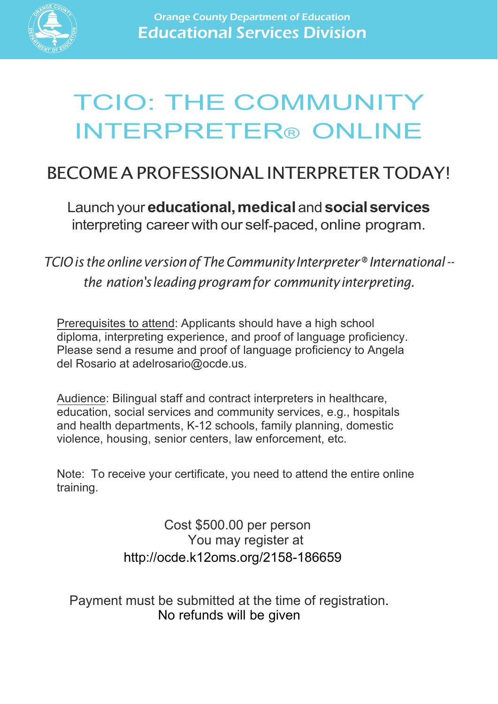

# TCIO: THE COMMUNITY INTERPRETER® ONLINE

## BECOMEA PROFESSIONAL INTERPRETERTODAY!

Launch your **educational,medical** and **socialservices**  interpreting career with our self-paced, online program.

*TCIOis the online versionofTheCommunityInterpreter®International- the nation'sleadingprogramfor communityinterpreting.*

Prerequisites to attend: Applicants should have a high school diploma, interpreting experience, and proof of language proficiency. Please send a resume and proof of language proficiency to Angela del Rosario at adelrosario@ocde.us.

Audience: Bilingual staff and contract interpreters in healthcare, education, social services and community services, e.g., hospitals and health departments, K-12 schools, family planning, domestic violence, housing, senior centers, law enforcement, etc.

Note: To receive your certificate, you need to attend the entire online training.

> You may register at http://ocde.k12oms.org/2158-186659 Cost \$500.00 per person

Payment must be submitted at the time of registration. No refunds will be given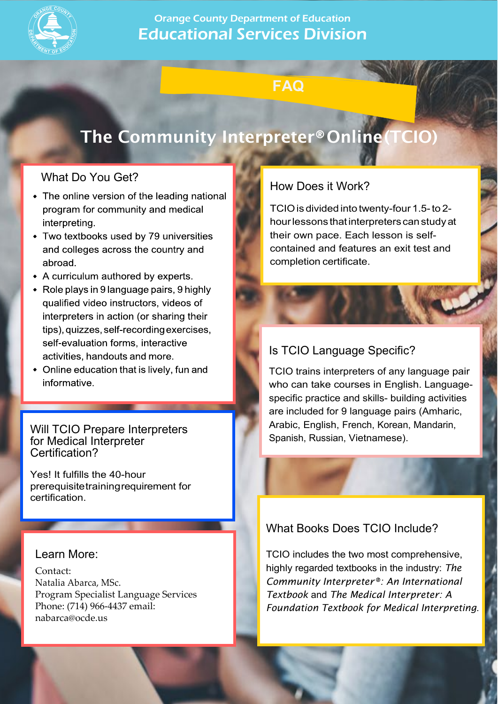

### Orange County Department of Education Educational Services Division

## **FAQ**

## The Community Interpreter®Online(TCIO)

#### What Do You Get?

- The online version of the leading national program for community and medical interpreting.
- Two textbooks used by 79 universities and colleges across the country and abroad.
- A curriculum authored by experts.
- Role plays in 9 language pairs, 9 highly qualified video instructors, videos of interpreters in action (or sharing their tips), quizzes, self-recording exercises, self-evaluation forms, interactive activities, handouts and more.
- Online education that is lively, fun and informative.

Will TCIO Prepare Interpreters for Medical Interpreter Certification?

Yes! It fulfills the 40-hour prerequisitetrainingrequirement for certification.

#### Learn More:

Contact: Natalia Abarca, MSc. Program Specialist Language Services Phone: (714) 966-4437 email: nabarca@ocde.us

#### How Does it Work?

TCIO is divided into twenty-four 1.5- to 2hourlessons thatinterpreters canstudyat their own pace. Each lesson is selfcontained and features an exit test and completion certificate.

### Is TCIO Language Specific?

TCIO trains interpreters of any language pair who can take courses in English. Languagespecific practice and skills- building activities are included for 9 language pairs (Amharic, Arabic, English, French, Korean, Mandarin, Spanish, Russian, Vietnamese).

### What Books Does TCIO Include?

TCIO includes the two most comprehensive, highly regarded textbooks in the industry: *The Community Interpreter®: An International Textbook* and *The [Medica](mailto:nabarca@ocde.us)l Interpreter: A Foundation Textbook for Medical Interpreting*.